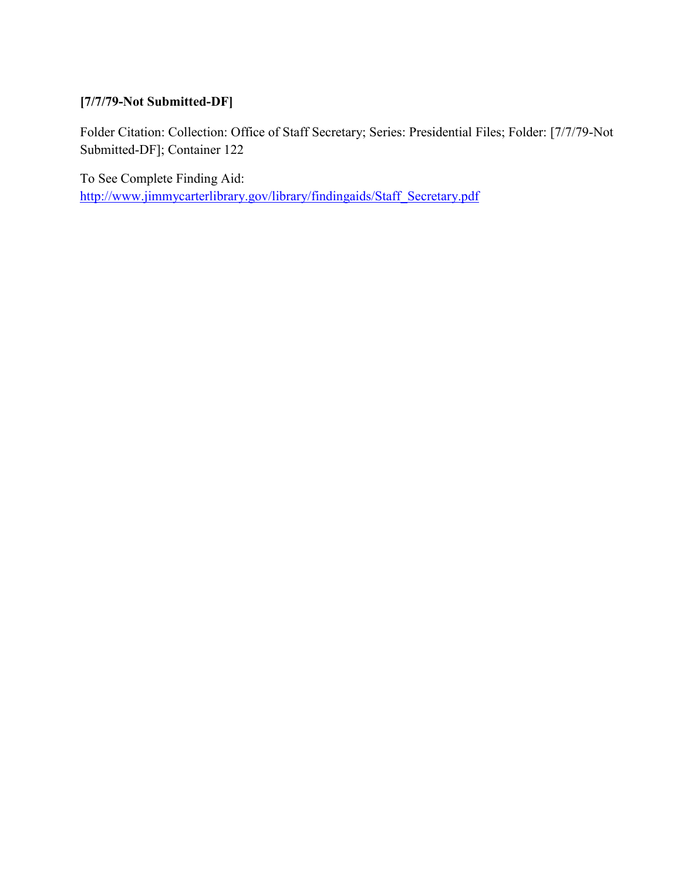### **[7/7/79-Not Submitted-DF]**

Folder Citation: Collection: Office of Staff Secretary; Series: Presidential Files; Folder: [7/7/79-Not Submitted-DF]; Container 122

To See Complete Finding Aid: [http://www.jimmycarterlibrary.gov/library/findingaids/Staff\\_Secretary.pdf](http://www.jimmycarterlibrary.gov/library/findingaids/Staff_Secretary.pdf)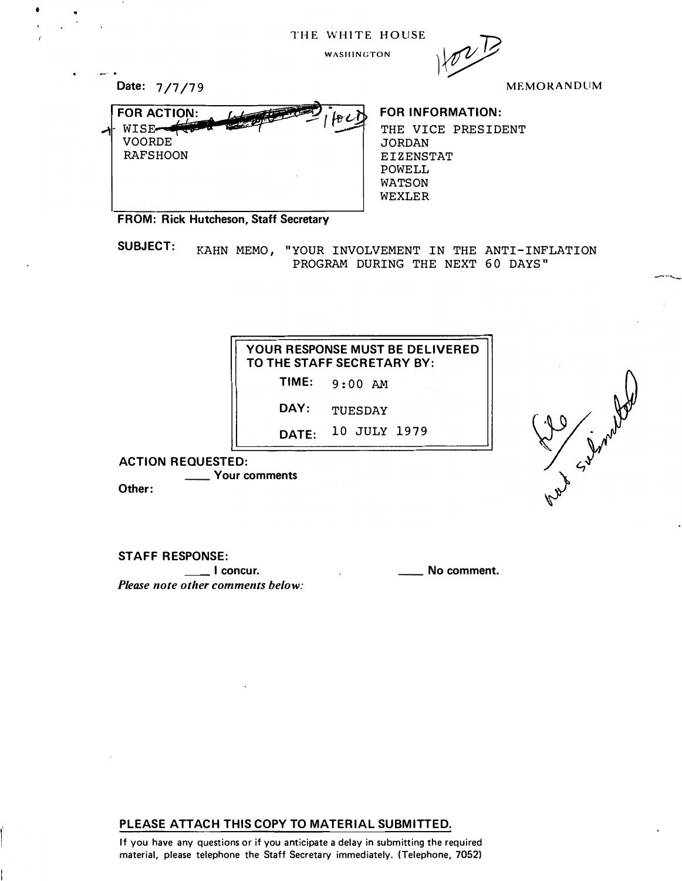| THE WHITE HOUSE |  |  |  |
|-----------------|--|--|--|
|-----------------|--|--|--|



MEMORANDUM

Let Simply

| Date: 7/7/79                                                    |  |
|-----------------------------------------------------------------|--|
| <b>FOR ACTION:</b><br>WISE-<br><b>VOORDE</b><br><b>RAFSHOON</b> |  |
|                                                                 |  |

•

#### FOR INFORMATION:

THE VICE PRESIDENT **JORDAN** EIZENSTAT POWELL WATSON WEXLER

FROM: Rick Hutcheson, Staff Secretary

SUBJECT: KAHN MEMO, "YOUR INVOLVEMENT IN THE ANTI-INFLATION PROGRAM DURING THE NEXT 60 DAYS"

| YOUR RESPONSE MUST BE DELIVERED |
|---------------------------------|
| TO THE STAFF SECRETARY BY:      |

TIME: 9:00 AM

DAY: TUESDAY

DATE: 10 JULY 1979

ACTION REQUESTED: \_\_ Your comments Other:

STAFF RESPONSE:

**I concur.** The same of the same of the same of the same of the same of the same of the same of the same of the s Please note other comments below:

## PLEASE ATTACH THIS COPY TO MATERIAL SUBMITTED.

If you have any questions or if you anticipate a delay in submitting the required material, please telephone the Staff Secretary immediately. (Telephone, 7052)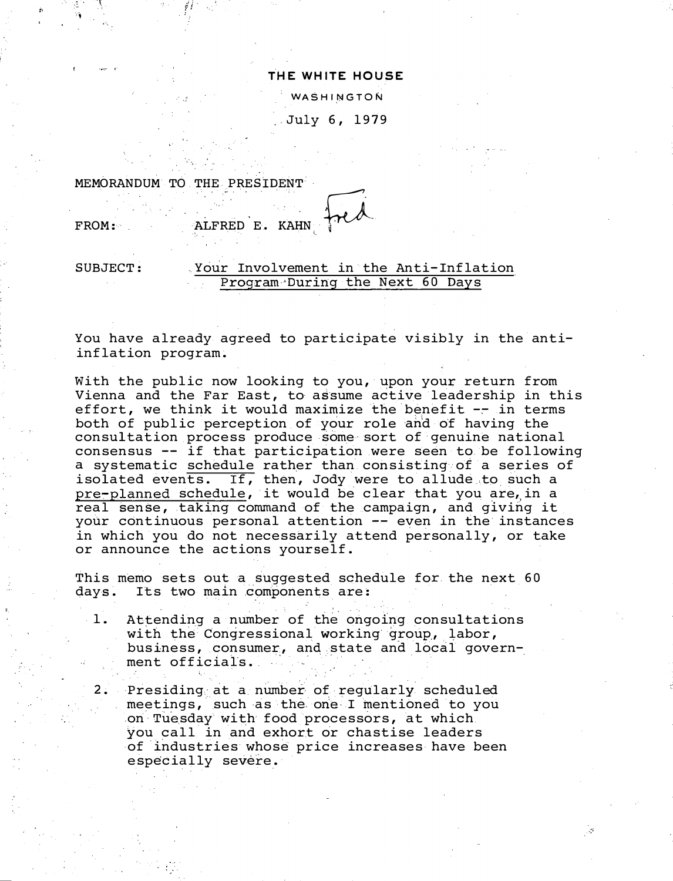#### THE WHITE HOUSE

**WASHINGTON** 

July 6, 1979

. ·, MEMORANDUM TO THE PRESIDENT

,,

'·

# FROM: ALFRED E. KAHN FROM:

#### SUBJECT: Your Involvement in the Anti-Inflation Program During the Next 60 Days

You have already agreed to participate visibly in the antiinflation program.

With the public now looking to you, upon your return from Vienna and the Far East, to assume active leadership in this effort, we think it would maximize the benefit  $-$ - in terms both of public perception of your role and of having the consultation process produce some-sort of genuine national consensus -- if that participation were seen to be following a systematic schedule rather than consisting of a series of isolated events. If, then, Jody were to allude .to such a pre-planned schedule, it would be clear that you are,in a real sense, taking command of the campaign, and giving it your continuous personal attention -- even in the instances in which you do not necessarily attend personally, or take or announce the actions yourself.

This memo sets out a suggested schedule for the next 60 days. Its two main components are:

- 1. Attending a number of the ongoing consultations with the Congressional working group, labor, business, consumer, and state and local government officials.
- 2. Presiding at a number of regularly scheduled meetings, such as the one I mentioned to you on Tuesday with food processors, at which you call in and exhort or chastise leaders of industries whose price increases have been especially severe.

::·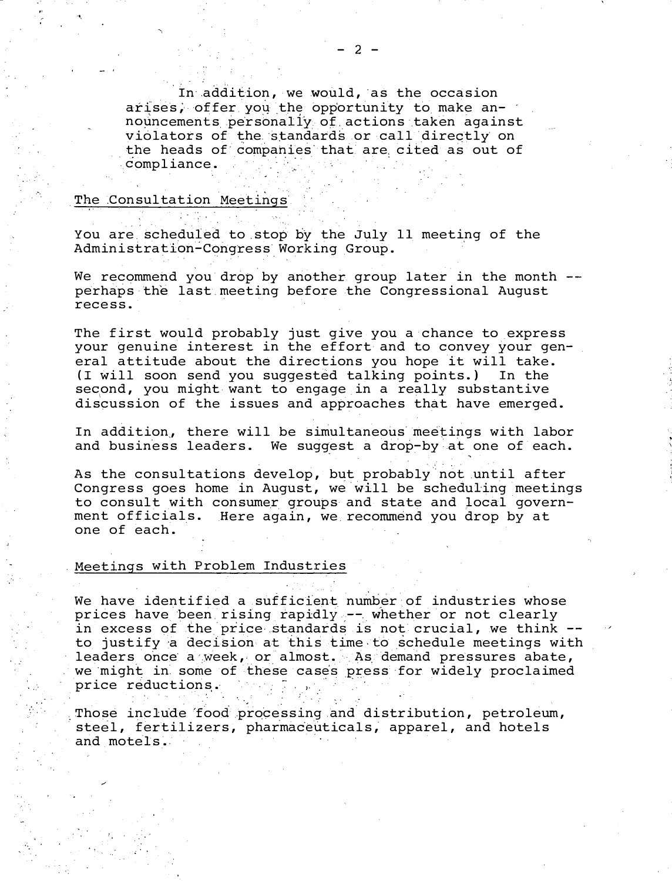In addition, we would, as the occasion arises, offer you the opportunity to make announcements personally of actions taken against violators of the standards or call directly on the heads of companies that are cited as out of compliance.

#### The Consultation Meetings

You are scheduled to stop by the July 11 meeting of the Administration-Congress Working Group.

We recommend you drop by another group later in the month -perhaps the last meeting before the Congressional August recess.

The first would probably just give you a chance to express<br>your genuine interest in the effort and to convey your general attitude about the directions you hope it will take. (I will soon send you suggested talking points.) In the second, you might want to engage in a really substantive discussion of the issues and approaches that have emerged.

In addition, there will be simultaneous meetings with labor and business leaders. We suggest a drop-by at one of each.

As the consultations develop, but probably not until after Congress goes home in August, we will be scheduling meetings to consult with consumer groups and state and local government officials. Here again, we recommend you drop by at one of each.

#### Meetings with Problem Industries

We have identified a sufficient number of industries whose prices have been rising rapidly -- whether or not clearly in excess of the price standards is not crucial, we think -to justify a decision at this time to schedule meetings with leaders once a week, or almost. As demand pressures abate, we might in some of these cases press for widely proclaimed price reductions.

Those include food processing and distribution, petroleum, steel, fertilizers, pharmaceuticals, apparel, and hotels and motels.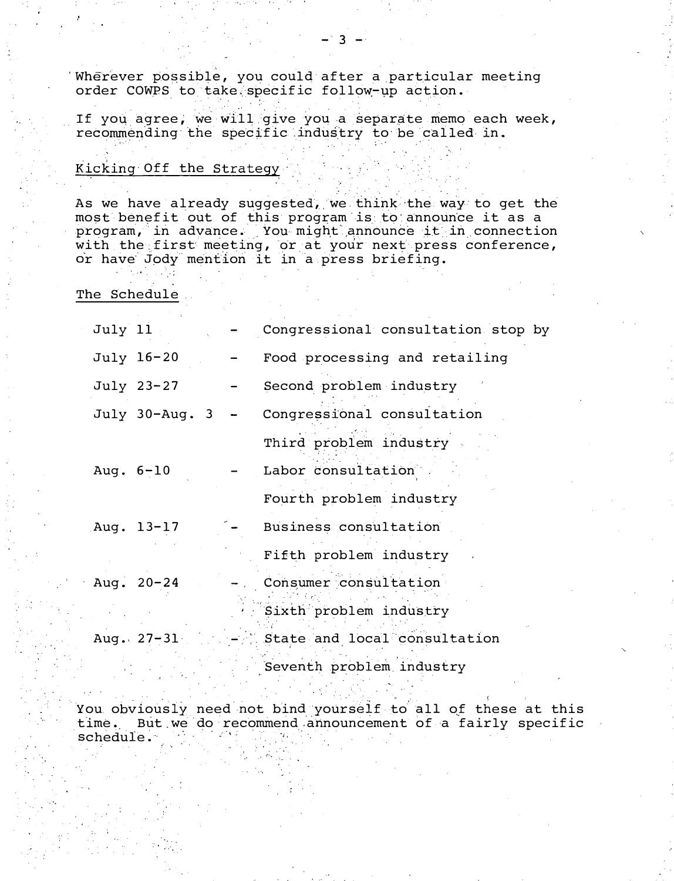Wherever possible, you could after a particular meeting order COWPS to take specific follow-up action.

If you agree, we will give you a separate memo each week, recommending the specific industry to be called in.

#### Kicking Off the Strategy

As we have already suggested, we think the way to get the most benefit out of this program is to announce it as a program, in advance. You might announce it in connection with the first meeting, or at your next press conference, or have Jody mention it in a press briefing.

The Schedule

| July 11               | Congressional consultation stop by        |
|-----------------------|-------------------------------------------|
| July 16-20            | Food processing and retailing             |
| July 23-27            | Second problem industry                   |
| July $30$ -Aug. $3 -$ | Congressional consultation                |
|                       | Third problem industry                    |
| Aug. $6 - 10$         | Labor consultation                        |
|                       | Fourth problem industry                   |
| Aug. 13-17            | Business consultation                     |
|                       | Fifth problem industry                    |
| Aug. $20 - 24$        | - Consumer consultation                   |
|                       | Sixth problem industry                    |
|                       | Aug. 27-31 - State and local consultation |
|                       | Seventh problem industry                  |

You obviously need not bind yourself to all of these at this time. But we do recommend announcement of a fairly specific schedule.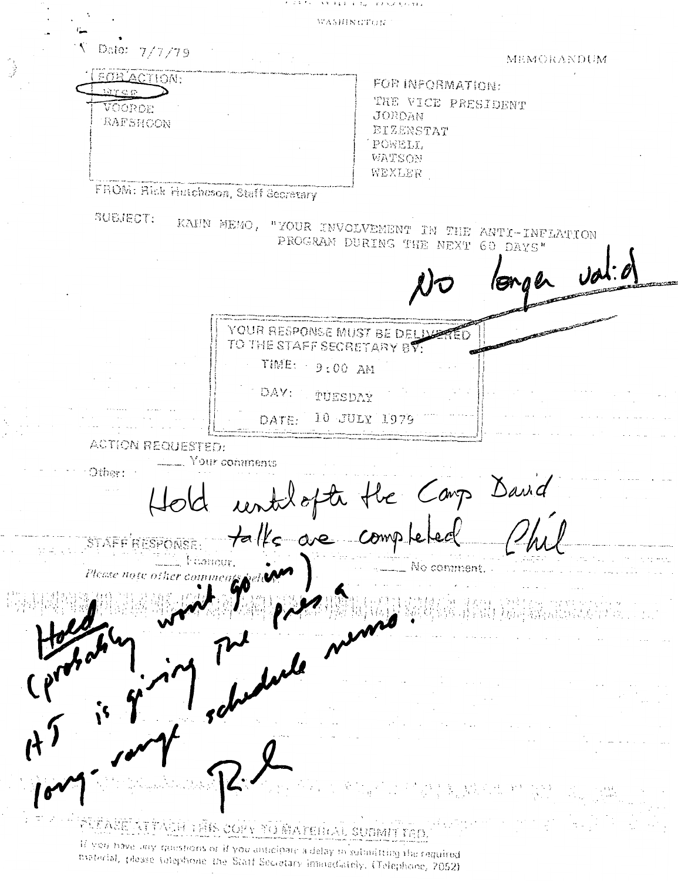#### さき チネネート きょう エフ ちっともうしせん

WASHINGTON

Date: 7/7/79

**MTCG** 

VOOROE

RAFSHOON

FOR ACTION.

MEMORANDUM

FOR INFORMATION: THE VICE PRESIDENT **JORDAN** EIZENSTAT POWELL WATSON WEXLER

FROM: Rick Hutcheson, Staff Secretary

SUBJECT:

KAHN MEMO, "YOUR INVOLVEMENT IN THE ANTI-INFLATION PROGRAM DURING THE NEXT 60 DAYS"

> YOUR RESPONSE MUST BE DELIVE TO THE STAFF SECRETARY BY: TIME:  $-9:00$  AM

DAY: TUESDAY

10 JULY 1979 DATE:

**ACTION REQUESTED:** 

Other:

Your comments

Hold untilopte the Carp David STAFF RESPONSE

 $\cdot$   $\cdot$  corrects. Please nase other

No comment.

**STITACH THE COPY TO MATERIAL SUBMITTED** 

If you have any questions or if you anticipate a delay in submitting the raquired material, please sulephone the Stati Secretary inanediately. (Telephone, 7052)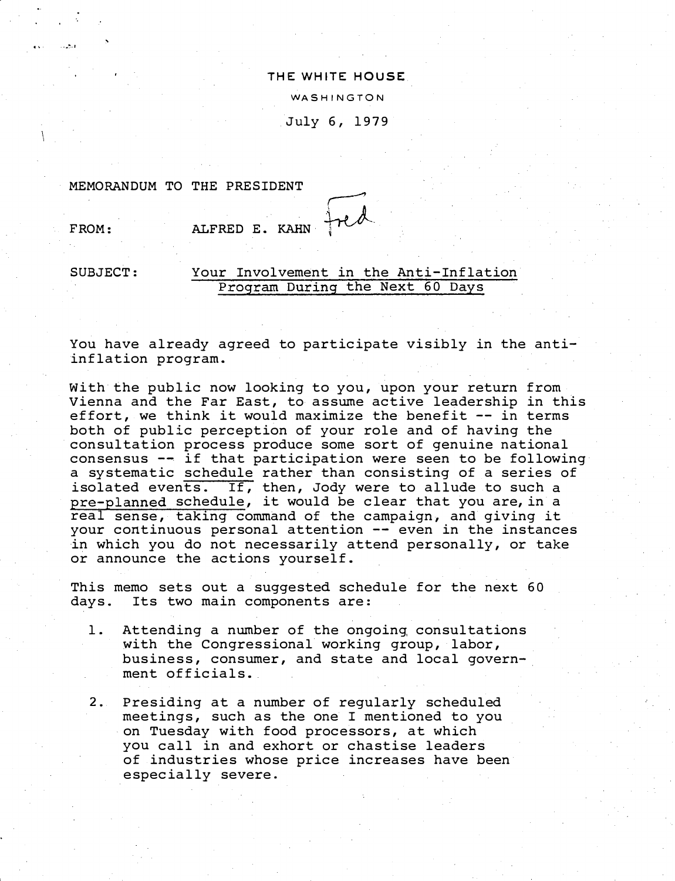#### THE WHITE HOUSE WASHINGTON

July 6, 1979

MEMORANDUM TO THE PRESIDENT

FROM: ALFRED E. KAHN

.-.�--1

#### SUBJECT: Your Involvement in the Anti-Inflation Program During the Next 60 Days

You have already agreed to participate visibly in the antiinflation program.

With the public now looking to you, upon your return from Vienna and the Far East, to assume active leadership in this effort, we think it would maximize the benefit -- in terms both of public perception of your role and of having the consultation process produce some sort of genuine national consensus -- if that participation were seen to be following a systematic schedule rather than consisting of a series of isolated events. If, then, Jody were to allude to such a pre-planned schedule, it would be clear that you are, in a real sense, taking command of the campaign, and giving it your continuous personal attention -- even in the instances in which you do not necessarily attend personally, or take or announce the actions yourself.

This memo sets out a suggested schedule for the next 60 days. Its two main components are:

- 1. Attending a number of the ongoing, consultations with the Congressional working group, labor, business, consumer, and state and local government officials.
- 2. Presiding at a number of regularly scheduled meetings, such as the one I mentioned to you on Tuesday with food processors, at which you call in and exhort or chastise leaders of industries whose price increases have been especially severe.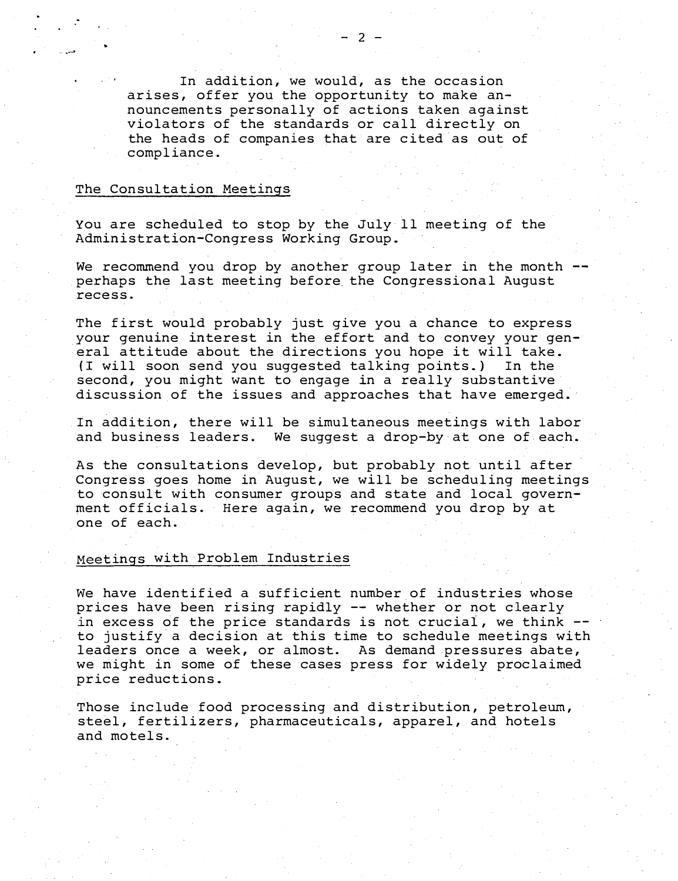In addition, we would, as the occasion arises, offer you the opportunity to make announcements personally of actions taken against violators of the standards or call directly on the heads of companies that are cited as out of compliance.

#### The Consultation Meetings

- ......... ,

You are scheduled to stop by the July ll meeting of the Administration-Congress Working Group.

We recommend you drop by another group later in the month . perhaps the last meeting before the Congressional August recess.

The first would probably just give you a chance to express your genuine interest in the effort and to convey your general attitude about the directions you hope it will take. {I will soon send you suggested talking points.) In the second, you might want to engage in a really substantive discussion of the issues and approaches that have emerged.

In addition, there will be simultaneous meetings with labor and business leaders. We suggest a drop-by at one of each.

As the consultations develop, but probably not until after Congress goes home in August, we will be scheduling meetings to consult with consumer groups and state and local government officials. Here again, we recommend you drop by at one of each.

#### Meetings with Problem Industries

We have identified a sufficient number of industries whose prices have been rising rapidly -- whether or not clearly in excess of the price standards is not crucial, we think -to justify a decision at this time to schedule meetings with leaders once a week, or almost. As demand pressures abate, we might in some of these cases press for widely proclaimed price reductions.

Those include food processing and distribution, petroleum, steel, fertilizers, pharmaceuticals, apparel, and hotels and motels.